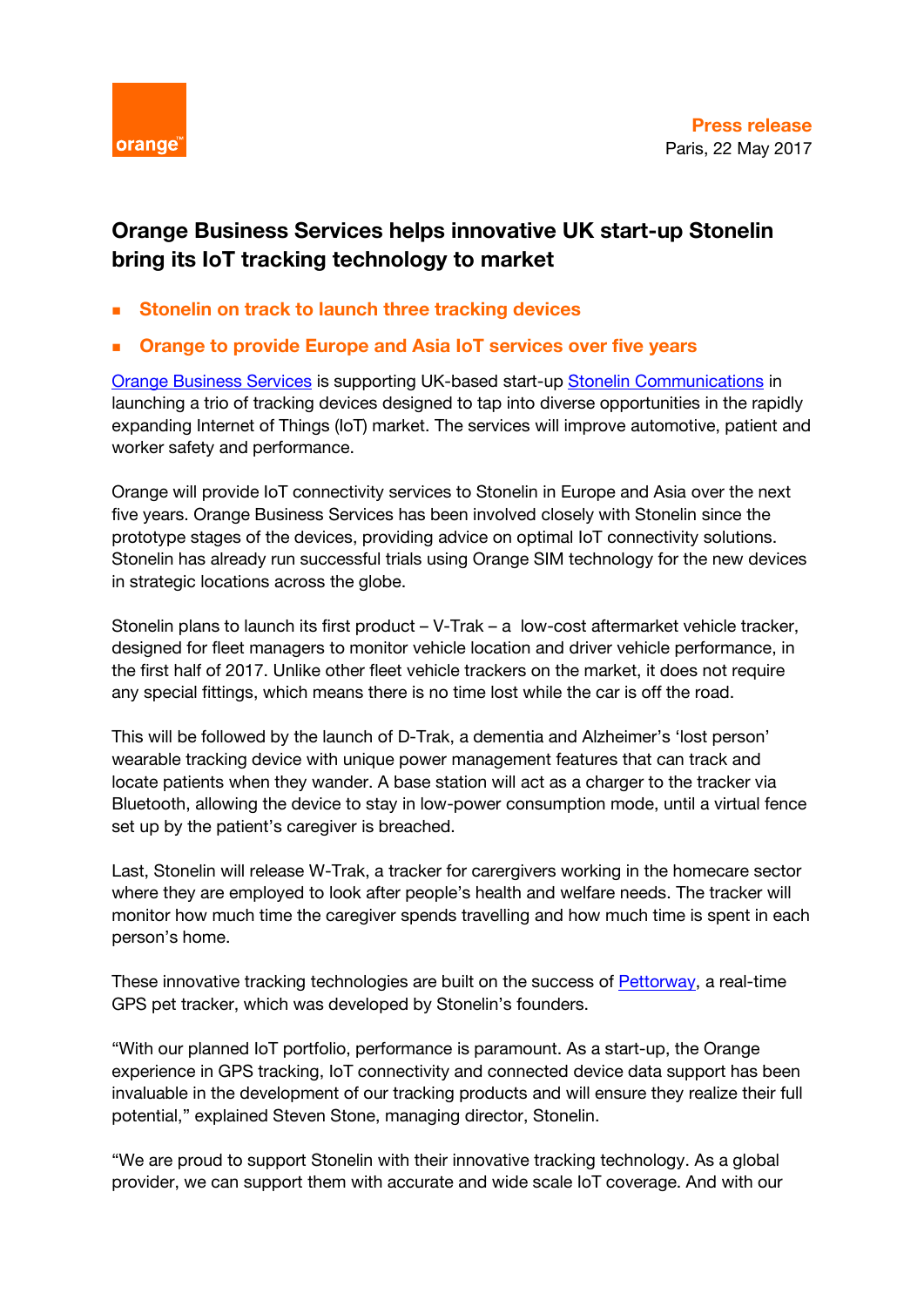

## **Orange Business Services helps innovative UK start-up Stonelin bring its IoT tracking technology to market**

- **Stonelin on track to launch three tracking devices**
- **Orange to provide Europe and Asia IoT services over five years**

[Orange Business Services](http://www.orange-business.com/en) is supporting UK-based start-up [Stonelin Communications](http://www.stonelincom.com/) in launching a trio of tracking devices designed to tap into diverse opportunities in the rapidly expanding Internet of Things (IoT) market. The services will improve automotive, patient and worker safety and performance.

Orange will provide IoT connectivity services to Stonelin in Europe and Asia over the next five years. Orange Business Services has been involved closely with Stonelin since the prototype stages of the devices, providing advice on optimal IoT connectivity solutions. Stonelin has already run successful trials using Orange SIM technology for the new devices in strategic locations across the globe.

Stonelin plans to launch its first product – V-Trak – a low-cost aftermarket vehicle tracker, designed for fleet managers to monitor vehicle location and driver vehicle performance, in the first half of 2017. Unlike other fleet vehicle trackers on the market, it does not require any special fittings, which means there is no time lost while the car is off the road.

This will be followed by the launch of D-Trak, a dementia and Alzheimer's 'lost person' wearable tracking device with unique power management features that can track and locate patients when they wander. A base station will act as a charger to the tracker via Bluetooth, allowing the device to stay in low-power consumption mode, until a virtual fence set up by the patient's caregiver is breached.

Last, Stonelin will release W-Trak, a tracker for carergivers working in the homecare sector where they are employed to look after people's health and welfare needs. The tracker will monitor how much time the caregiver spends travelling and how much time is spent in each person's home.

These innovative tracking technologies are built on the success of [Pettorway,](http://www.pettorway.com/) a real-time GPS pet tracker, which was developed by Stonelin's founders.

"With our planned IoT portfolio, performance is paramount. As a start-up, the Orange experience in GPS tracking, IoT connectivity and connected device data support has been invaluable in the development of our tracking products and will ensure they realize their full potential," explained Steven Stone, managing director, Stonelin.

"We are proud to support Stonelin with their innovative tracking technology. As a global provider, we can support them with accurate and wide scale IoT coverage. And with our